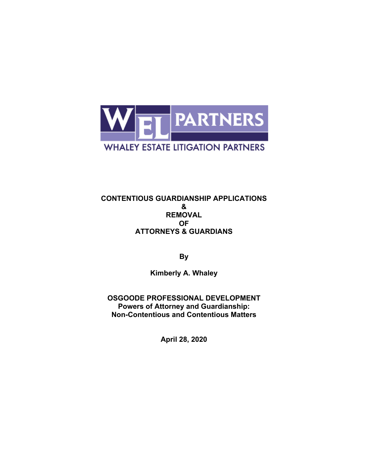

#### **CONTENTIOUS GUARDIANSHIP APPLICATIONS & REMOVAL OF ATTORNEYS & GUARDIANS**

**By** 

**Kimberly A. Whaley** 

**OSGOODE PROFESSIONAL DEVELOPMENT Powers of Attorney and Guardianship: Non-Contentious and Contentious Matters**

**April 28, 2020**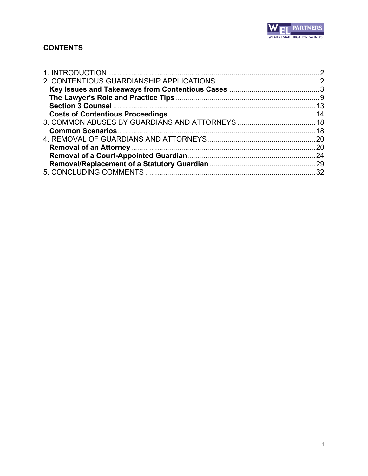

# **CONTENTS**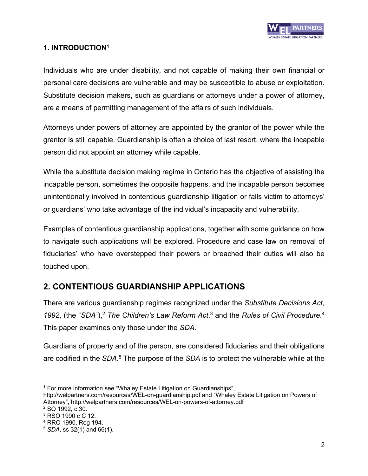

### **1. INTRODUCTION1**

Individuals who are under disability, and not capable of making their own financial or personal care decisions are vulnerable and may be susceptible to abuse or exploitation. Substitute decision makers, such as guardians or attorneys under a power of attorney, are a means of permitting management of the affairs of such individuals.

Attorneys under powers of attorney are appointed by the grantor of the power while the grantor is still capable. Guardianship is often a choice of last resort, where the incapable person did not appoint an attorney while capable.

While the substitute decision making regime in Ontario has the objective of assisting the incapable person, sometimes the opposite happens, and the incapable person becomes unintentionally involved in contentious guardianship litigation or falls victim to attorneys' or guardians' who take advantage of the individual's incapacity and vulnerability.

Examples of contentious guardianship applications, together with some guidance on how to navigate such applications will be explored. Procedure and case law on removal of fiduciaries' who have overstepped their powers or breached their duties will also be touched upon.

# **2. CONTENTIOUS GUARDIANSHIP APPLICATIONS**

There are various guardianship regimes recognized under the *Substitute Decisions Act, 1992*, (the "*SDA"*), <sup>2</sup> *The Children's Law Reform Act*, <sup>3</sup> and the *Rules of Civil Procedure*. 4 This paper examines only those under the *SDA*.

Guardians of property and of the person, are considered fiduciaries and their obligations are codified in the *SDA*. <sup>5</sup> The purpose of the *SDA* is to protect the vulnerable while at the

<sup>&</sup>lt;sup>1</sup> For more information see "Whaley Estate Litigation on Guardianships",

http://welpartners.com/resources/WEL-on-guardianship.pdf and "Whaley Estate Litigation on Powers of Attorney", http://welpartners.com/resources/WEL-on-powers-of-attorney.pdf

<sup>2</sup> SO 1992, c 30.

<sup>3</sup> RSO 1990 c C 12.

<sup>4</sup> RRO 1990, Reg 194.

<sup>5</sup> *SDA*, ss 32(1) and 66(1).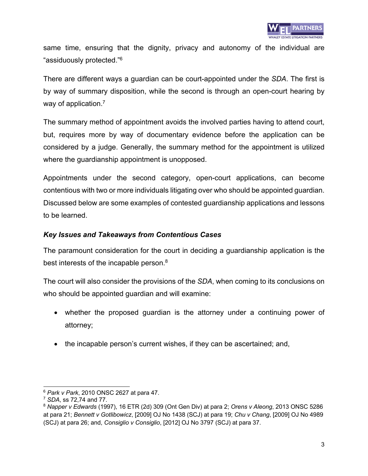

same time, ensuring that the dignity, privacy and autonomy of the individual are "assiduously protected." 6

There are different ways a guardian can be court-appointed under the *SDA*. The first is by way of summary disposition, while the second is through an open-court hearing by way of application.<sup>7</sup>

The summary method of appointment avoids the involved parties having to attend court, but, requires more by way of documentary evidence before the application can be considered by a judge. Generally, the summary method for the appointment is utilized where the guardianship appointment is unopposed.

Appointments under the second category, open-court applications, can become contentious with two or more individuals litigating over who should be appointed guardian. Discussed below are some examples of contested guardianship applications and lessons to be learned.

### *Key Issues and Takeaways from Contentious Cases*

The paramount consideration for the court in deciding a guardianship application is the best interests of the incapable person.8

The court will also consider the provisions of the *SDA*, when coming to its conclusions on who should be appointed guardian and will examine:

- whether the proposed guardian is the attorney under a continuing power of attorney;
- the incapable person's current wishes, if they can be ascertained; and,

<sup>6</sup> *Park v Park*, 2010 ONSC 2627 at para 47.

<sup>7</sup> *SDA*, ss 72,74 and 77.

<sup>8</sup> *Napper v Edwards* (1997), 16 ETR (2d) 309 (Ont Gen Div) at para 2; *Orens v Aleong*, 2013 ONSC 5286 at para 21; *Bennett v Gotlibowicz*, [2009] OJ No 1438 (SCJ) at para 19; *Chu v Chang*, [2009] OJ No 4989 (SCJ) at para 26; and, *Consiglio v Consiglio*, [2012] OJ No 3797 (SCJ) at para 37.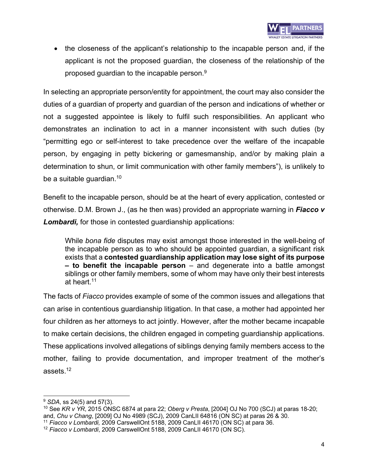• the closeness of the applicant's relationship to the incapable person and, if the applicant is not the proposed guardian, the closeness of the relationship of the proposed guardian to the incapable person.<sup>9</sup>

In selecting an appropriate person/entity for appointment, the court may also consider the duties of a guardian of property and guardian of the person and indications of whether or not a suggested appointee is likely to fulfil such responsibilities. An applicant who demonstrates an inclination to act in a manner inconsistent with such duties (by "permitting ego or self-interest to take precedence over the welfare of the incapable person, by engaging in petty bickering or gamesmanship, and/or by making plain a determination to shun, or limit communication with other family members"), is unlikely to be a suitable guardian.<sup>10</sup>

Benefit to the incapable person, should be at the heart of every application, contested or otherwise. D.M. Brown J., (as he then was) provided an appropriate warning in *Fiacco v Lombardi,* for those in contested guardianship applications:

While *bona fide* disputes may exist amongst those interested in the well-being of the incapable person as to who should be appointed guardian, a significant risk exists that a **contested guardianship application may lose sight of its purpose – to benefit the incapable person** – and degenerate into a battle amongst siblings or other family members, some of whom may have only their best interests at heart.<sup>11</sup>

The facts of *Fiacco* provides example of some of the common issues and allegations that can arise in contentious guardianship litigation. In that case, a mother had appointed her four children as her attorneys to act jointly. However, after the mother became incapable to make certain decisions, the children engaged in competing guardianship applications. These applications involved allegations of siblings denying family members access to the mother, failing to provide documentation, and improper treatment of the mother's assets. 12

<sup>9</sup> *SDA*, ss 24(5) and 57(3).

<sup>10</sup> See *KR v YR*, 2015 ONSC 6874 at para 22; *Oberg v Presta*, [2004] OJ No 700 (SCJ) at paras 18-20; and, *Chu v Chang*, [2009] OJ No 4989 (SCJ), 2009 CanLII 64816 (ON SC) at paras 26 & 30.

<sup>11</sup> *Fiacco v Lombardi,* 2009 CarswellOnt 5188, 2009 CanLII 46170 (ON SC) at para 36.

<sup>12</sup> *Fiacco v Lombardi*, 2009 CarswellOnt 5188, 2009 CanLII 46170 (ON SC).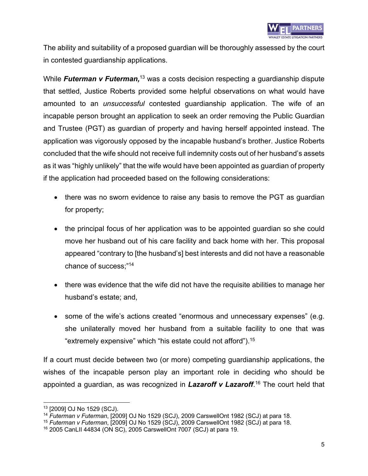

The ability and suitability of a proposed guardian will be thoroughly assessed by the court in contested guardianship applications.

While Futerman v Futerman,<sup>13</sup> was a costs decision respecting a guardianship dispute that settled, Justice Roberts provided some helpful observations on what would have amounted to an *unsuccessful* contested guardianship application. The wife of an incapable person brought an application to seek an order removing the Public Guardian and Trustee (PGT) as guardian of property and having herself appointed instead. The application was vigorously opposed by the incapable husband's brother. Justice Roberts concluded that the wife should not receive full indemnity costs out of her husband's assets as it was "highly unlikely" that the wife would have been appointed as guardian of property if the application had proceeded based on the following considerations:

- there was no sworn evidence to raise any basis to remove the PGT as guardian for property;
- the principal focus of her application was to be appointed guardian so she could move her husband out of his care facility and back home with her. This proposal appeared "contrary to [the husband's] best interests and did not have a reasonable chance of success;" 14
- there was evidence that the wife did not have the requisite abilities to manage her husband's estate; and,
- some of the wife's actions created "enormous and unnecessary expenses" (e.g. she unilaterally moved her husband from a suitable facility to one that was "extremely expensive" which "his estate could not afford"). 15

If a court must decide between two (or more) competing guardianship applications, the wishes of the incapable person play an important role in deciding who should be appointed a guardian, as was recognized in *Lazaroff v Lazaroff*. <sup>16</sup> The court held that

<sup>13</sup> [2009] OJ No 1529 (SCJ).

<sup>14</sup> *Futerman v Futerman*, [2009] OJ No 1529 (SCJ), 2009 CarswellOnt 1982 (SCJ) at para 18.

<sup>15</sup> *Futerman v Futerman*, [2009] OJ No 1529 (SCJ), 2009 CarswellOnt 1982 (SCJ) at para 18.

<sup>16</sup> 2005 CanLII 44834 (ON SC), 2005 CarswellOnt 7007 (SCJ) at para 19.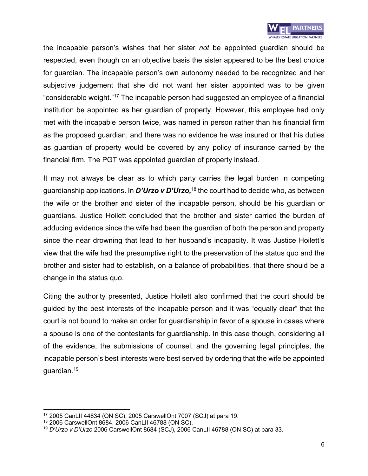

the incapable person's wishes that her sister *not* be appointed guardian should be respected, even though on an objective basis the sister appeared to be the best choice for guardian. The incapable person's own autonomy needed to be recognized and her subjective judgement that she did not want her sister appointed was to be given "considerable weight."17 The incapable person had suggested an employee of a financial institution be appointed as her guardian of property. However, this employee had only met with the incapable person twice, was named in person rather than his financial firm as the proposed guardian, and there was no evidence he was insured or that his duties as guardian of property would be covered by any policy of insurance carried by the financial firm. The PGT was appointed guardian of property instead.

It may not always be clear as to which party carries the legal burden in competing guardianship applications. In *D'Urzo v D'Urzo,* <sup>18</sup> the court had to decide who, as between the wife or the brother and sister of the incapable person, should be his guardian or guardians. Justice Hoilett concluded that the brother and sister carried the burden of adducing evidence since the wife had been the guardian of both the person and property since the near drowning that lead to her husband's incapacity. It was Justice Hoilett's view that the wife had the presumptive right to the preservation of the status quo and the brother and sister had to establish, on a balance of probabilities, that there should be a change in the status quo.

Citing the authority presented, Justice Hoilett also confirmed that the court should be guided by the best interests of the incapable person and it was "equally clear" that the court is not bound to make an order for guardianship in favor of a spouse in cases where a spouse is one of the contestants for guardianship. In this case though, considering all of the evidence, the submissions of counsel, and the governing legal principles, the incapable person's best interests were best served by ordering that the wife be appointed quardian. $19$ 

<sup>17</sup> 2005 CanLII 44834 (ON SC), 2005 CarswellOnt 7007 (SCJ) at para 19.

<sup>18</sup> 2006 CarswellOnt 8684, 2006 CanLII 46788 (ON SC).

<sup>19</sup> *D'Urzo v D'Urzo* 2006 CarswellOnt 8684 (SCJ), 2006 CanLII 46788 (ON SC) at para 33.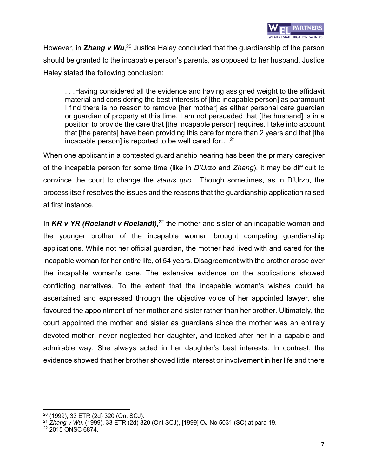

However, in Zhang v Wu,<sup>20</sup> Justice Haley concluded that the guardianship of the person should be granted to the incapable person's parents, as opposed to her husband. Justice Haley stated the following conclusion:

. . .Having considered all the evidence and having assigned weight to the affidavit material and considering the best interests of [the incapable person] as paramount I find there is no reason to remove [her mother] as either personal care guardian or guardian of property at this time. I am not persuaded that [the husband] is in a position to provide the care that [the incapable person] requires. I take into account that [the parents] have been providing this care for more than 2 years and that [the incapable person] is reported to be well cared for….21

When one applicant in a contested guardianship hearing has been the primary caregiver of the incapable person for some time (like in *D'Urzo* and *Zhang*), it may be difficult to convince the court to change the *status quo*. Though sometimes, as in D'Urzo, the process itself resolves the issues and the reasons that the guardianship application raised at first instance.

In *KR v YR (Roelandt v Roelandt),* <sup>22</sup> the mother and sister of an incapable woman and the younger brother of the incapable woman brought competing guardianship applications. While not her official guardian, the mother had lived with and cared for the incapable woman for her entire life, of 54 years. Disagreement with the brother arose over the incapable woman's care. The extensive evidence on the applications showed conflicting narratives. To the extent that the incapable woman's wishes could be ascertained and expressed through the objective voice of her appointed lawyer, she favoured the appointment of her mother and sister rather than her brother. Ultimately, the court appointed the mother and sister as guardians since the mother was an entirely devoted mother, never neglected her daughter, and looked after her in a capable and admirable way. She always acted in her daughter's best interests. In contrast, the evidence showed that her brother showed little interest or involvement in her life and there

<sup>20</sup> (1999), 33 ETR (2d) 320 (Ont SCJ).

<sup>21</sup> *Zhang v Wu,* (1999), 33 ETR (2d) 320 (Ont SCJ), [1999] OJ No 5031 (SC) at para 19.

<sup>&</sup>lt;sup>22</sup> 2015 ONSC 6874.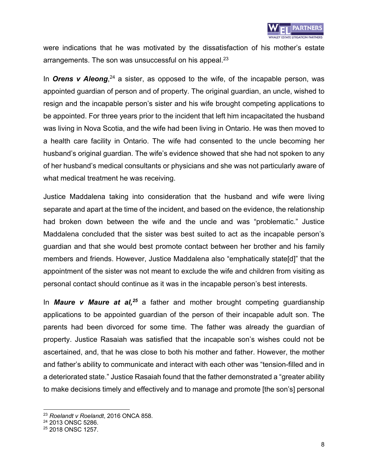were indications that he was motivated by the dissatisfaction of his mother's estate arrangements. The son was unsuccessful on his appeal.<sup>23</sup>

In **Orens v Aleong**,<sup>24</sup> a sister, as opposed to the wife, of the incapable person, was appointed guardian of person and of property. The original guardian, an uncle, wished to resign and the incapable person's sister and his wife brought competing applications to be appointed. For three years prior to the incident that left him incapacitated the husband was living in Nova Scotia, and the wife had been living in Ontario. He was then moved to a health care facility in Ontario. The wife had consented to the uncle becoming her husband's original guardian. The wife's evidence showed that she had not spoken to any of her husband's medical consultants or physicians and she was not particularly aware of what medical treatment he was receiving.

Justice Maddalena taking into consideration that the husband and wife were living separate and apart at the time of the incident, and based on the evidence, the relationship had broken down between the wife and the uncle and was "problematic." Justice Maddalena concluded that the sister was best suited to act as the incapable person's guardian and that she would best promote contact between her brother and his family members and friends. However, Justice Maddalena also "emphatically state[d]" that the appointment of the sister was not meant to exclude the wife and children from visiting as personal contact should continue as it was in the incapable person's best interests.

In *Maure v Maure at al, <sup>25</sup>* a father and mother brought competing guardianship applications to be appointed guardian of the person of their incapable adult son. The parents had been divorced for some time. The father was already the guardian of property. Justice Rasaiah was satisfied that the incapable son's wishes could not be ascertained, and, that he was close to both his mother and father. However, the mother and father's ability to communicate and interact with each other was "tension-filled and in a deteriorated state." Justice Rasaiah found that the father demonstrated a "greater ability to make decisions timely and effectively and to manage and promote [the son's] personal

<sup>23</sup> *Roelandt v Roelandt*, 2016 ONCA 858.

<sup>&</sup>lt;sup>24</sup> 2013 ONSC 5286.

<sup>&</sup>lt;sup>25</sup> 2018 ONSC 1257.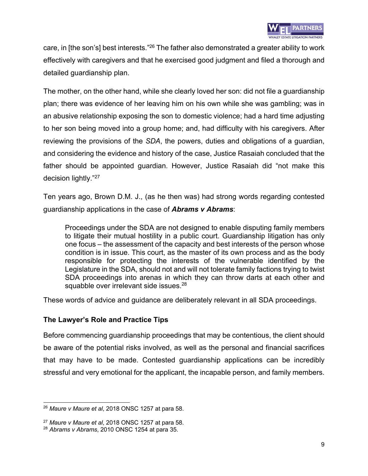care, in [the son's] best interests."26 The father also demonstrated a greater ability to work effectively with caregivers and that he exercised good judgment and filed a thorough and detailed guardianship plan.

The mother, on the other hand, while she clearly loved her son: did not file a guardianship plan; there was evidence of her leaving him on his own while she was gambling; was in an abusive relationship exposing the son to domestic violence; had a hard time adjusting to her son being moved into a group home; and, had difficulty with his caregivers. After reviewing the provisions of the *SDA*, the powers, duties and obligations of a guardian, and considering the evidence and history of the case, Justice Rasaiah concluded that the father should be appointed guardian. However, Justice Rasaiah did "not make this decision lightly."<sup>27</sup>

Ten years ago, Brown D.M. J., (as he then was) had strong words regarding contested guardianship applications in the case of *Abrams v Abrams*:

Proceedings under the SDA are not designed to enable disputing family members to litigate their mutual hostility in a public court. Guardianship litigation has only one focus – the assessment of the capacity and best interests of the person whose condition is in issue. This court, as the master of its own process and as the body responsible for protecting the interests of the vulnerable identified by the Legislature in the SDA, should not and will not tolerate family factions trying to twist SDA proceedings into arenas in which they can throw darts at each other and squabble over irrelevant side issues.<sup>28</sup>

These words of advice and guidance are deliberately relevant in all SDA proceedings.

### **The Lawyer's Role and Practice Tips**

Before commencing guardianship proceedings that may be contentious, the client should be aware of the potential risks involved, as well as the personal and financial sacrifices that may have to be made. Contested guardianship applications can be incredibly stressful and very emotional for the applicant, the incapable person, and family members.

<sup>26</sup> *Maure v Maure et al*, 2018 ONSC 1257 at para 58.

<sup>27</sup> *Maure v Maure et al*, 2018 ONSC 1257 at para 58.

<sup>28</sup> *Abrams v Abrams*, 2010 ONSC 1254 at para 35.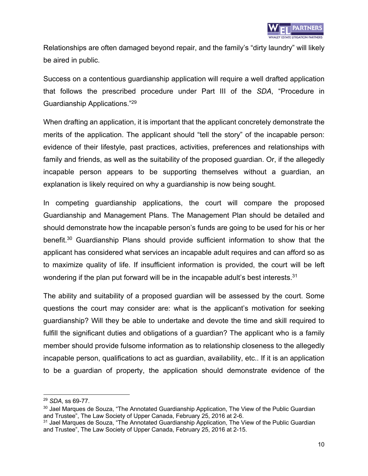Relationships are often damaged beyond repair, and the family's "dirty laundry" will likely be aired in public.

Success on a contentious guardianship application will require a well drafted application that follows the prescribed procedure under Part III of the *SDA*, "Procedure in Guardianship Applications." 29

When drafting an application, it is important that the applicant concretely demonstrate the merits of the application. The applicant should "tell the story" of the incapable person: evidence of their lifestyle, past practices, activities, preferences and relationships with family and friends, as well as the suitability of the proposed guardian. Or, if the allegedly incapable person appears to be supporting themselves without a guardian, an explanation is likely required on why a guardianship is now being sought.

In competing guardianship applications, the court will compare the proposed Guardianship and Management Plans. The Management Plan should be detailed and should demonstrate how the incapable person's funds are going to be used for his or her benefit.30 Guardianship Plans should provide sufficient information to show that the applicant has considered what services an incapable adult requires and can afford so as to maximize quality of life. If insufficient information is provided, the court will be left wondering if the plan put forward will be in the incapable adult's best interests.<sup>31</sup>

The ability and suitability of a proposed guardian will be assessed by the court. Some questions the court may consider are: what is the applicant's motivation for seeking guardianship? Will they be able to undertake and devote the time and skill required to fulfill the significant duties and obligations of a guardian? The applicant who is a family member should provide fulsome information as to relationship closeness to the allegedly incapable person, qualifications to act as guardian, availability, etc.. If it is an application to be a guardian of property, the application should demonstrate evidence of the

<sup>29</sup> *SDA*, ss 69-77.

<sup>&</sup>lt;sup>30</sup> Jael Marques de Souza, "The Annotated Guardianship Application, The View of the Public Guardian and Trustee", The Law Society of Upper Canada, February 25, 2016 at 2-6.

<sup>&</sup>lt;sup>31</sup> Jael Marques de Souza, "The Annotated Guardianship Application, The View of the Public Guardian and Trustee", The Law Society of Upper Canada, February 25, 2016 at 2-15.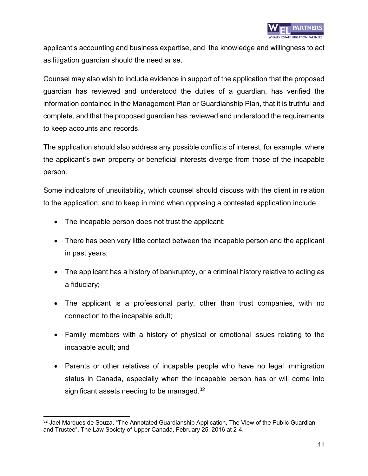applicant's accounting and business expertise, and the knowledge and willingness to act as litigation guardian should the need arise.

Counsel may also wish to include evidence in support of the application that the proposed guardian has reviewed and understood the duties of a guardian, has verified the information contained in the Management Plan or Guardianship Plan, that it is truthful and complete, and that the proposed guardian has reviewed and understood the requirements to keep accounts and records.

The application should also address any possible conflicts of interest, for example, where the applicant's own property or beneficial interests diverge from those of the incapable person.

Some indicators of unsuitability, which counsel should discuss with the client in relation to the application, and to keep in mind when opposing a contested application include:

- The incapable person does not trust the applicant;
- There has been very little contact between the incapable person and the applicant in past years;
- The applicant has a history of bankruptcy, or a criminal history relative to acting as a fiduciary;
- The applicant is a professional party, other than trust companies, with no connection to the incapable adult;
- Family members with a history of physical or emotional issues relating to the incapable adult; and
- Parents or other relatives of incapable people who have no legal immigration status in Canada, especially when the incapable person has or will come into significant assets needing to be managed. $32$

<sup>&</sup>lt;sup>32</sup> Jael Marques de Souza, "The Annotated Guardianship Application, The View of the Public Guardian and Trustee", The Law Society of Upper Canada, February 25, 2016 at 2-4.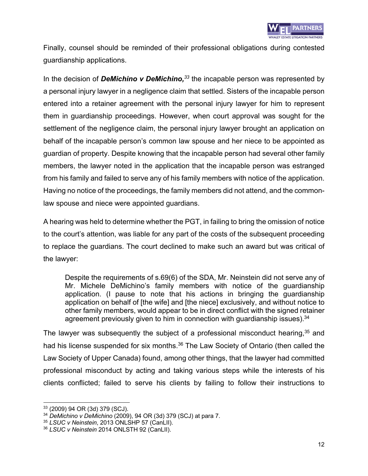

Finally, counsel should be reminded of their professional obligations during contested guardianship applications.

In the decision of *DeMichino v DeMichino, <sup>33</sup>* the incapable person was represented by a personal injury lawyer in a negligence claim that settled. Sisters of the incapable person entered into a retainer agreement with the personal injury lawyer for him to represent them in guardianship proceedings. However, when court approval was sought for the settlement of the negligence claim, the personal injury lawyer brought an application on behalf of the incapable person's common law spouse and her niece to be appointed as guardian of property. Despite knowing that the incapable person had several other family members, the lawyer noted in the application that the incapable person was estranged from his family and failed to serve any of his family members with notice of the application. Having no notice of the proceedings, the family members did not attend, and the commonlaw spouse and niece were appointed guardians.

A hearing was held to determine whether the PGT, in failing to bring the omission of notice to the court's attention, was liable for any part of the costs of the subsequent proceeding to replace the guardians. The court declined to make such an award but was critical of the lawyer:

Despite the requirements of s.69(6) of the SDA, Mr. Neinstein did not serve any of Mr. Michele DeMichino's family members with notice of the guardianship application. (I pause to note that his actions in bringing the guardianship application on behalf of [the wife] and [the niece] exclusively, and without notice to other family members, would appear to be in direct conflict with the signed retainer agreement previously given to him in connection with guardianship issues).<sup>34</sup>

The lawyer was subsequently the subject of a professional misconduct hearing,<sup>35</sup> and had his license suspended for six months.<sup>36</sup> The Law Society of Ontario (then called the Law Society of Upper Canada) found, among other things, that the lawyer had committed professional misconduct by acting and taking various steps while the interests of his clients conflicted; failed to serve his clients by failing to follow their instructions to

<sup>33</sup> (2009) 94 OR (3d) 379 (SCJ).

<sup>34</sup> *DeMichino v DeMichino* (2009), 94 OR (3d) 379 (SCJ) at para 7.

<sup>35</sup> *LSUC v Neinstein*, 2013 ONLSHP 57 (CanLII).

<sup>36</sup> *LSUC v Neinstein* 2014 ONLSTH 92 (CanLII).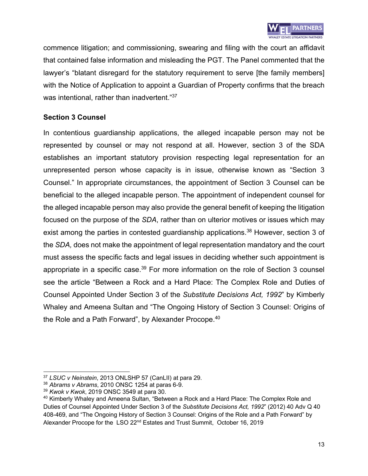

commence litigation; and commissioning, swearing and filing with the court an affidavit that contained false information and misleading the PGT. The Panel commented that the lawyer's "blatant disregard for the statutory requirement to serve [the family members] with the Notice of Application to appoint a Guardian of Property confirms that the breach was intentional, rather than inadvertent."37

### **Section 3 Counsel**

In contentious guardianship applications, the alleged incapable person may not be represented by counsel or may not respond at all. However, section 3 of the SDA establishes an important statutory provision respecting legal representation for an unrepresented person whose capacity is in issue, otherwise known as "Section 3 Counsel." In appropriate circumstances, the appointment of Section 3 Counsel can be beneficial to the alleged incapable person. The appointment of independent counsel for the alleged incapable person may also provide the general benefit of keeping the litigation focused on the purpose of the *SDA*, rather than on ulterior motives or issues which may exist among the parties in contested guardianship applications.<sup>38</sup> However, section 3 of the *SDA,* does not make the appointment of legal representation mandatory and the court must assess the specific facts and legal issues in deciding whether such appointment is appropriate in a specific case.<sup>39</sup> For more information on the role of Section 3 counsel see the article "Between a Rock and a Hard Place: The Complex Role and Duties of Counsel Appointed Under Section 3 of the *Substitute Decisions Act, 1992*" by Kimberly Whaley and Ameena Sultan and "The Ongoing History of Section 3 Counsel: Origins of the Role and a Path Forward", by Alexander Procope.<sup>40</sup>

<sup>37</sup> *LSUC v Neinstein*, 2013 ONLSHP 57 (CanLII) at para 29.

<sup>38</sup> *Abrams v Abrams*, 2010 ONSC 1254 at paras 6-9.

<sup>39</sup> *Kwok v Kwok*, 2019 ONSC 3549 at para 30.

<sup>40</sup> Kimberly Whaley and Ameena Sultan, "Between a Rock and a Hard Place: The Complex Role and Duties of Counsel Appointed Under Section 3 of the *Substitute Decisions Act, 1992*" (2012) 40 Adv Q 40 408-469, and "The Ongoing History of Section 3 Counsel: Origins of the Role and a Path Forward" by Alexander Procope for the LSO 22nd Estates and Trust Summit, October 16, 2019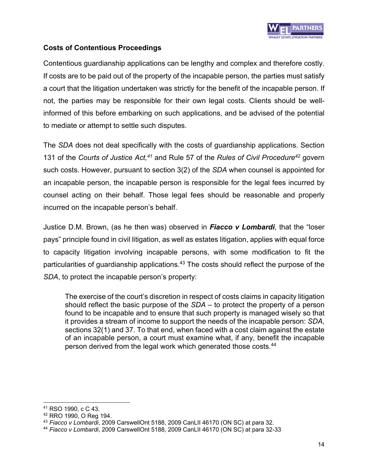

### **Costs of Contentious Proceedings**

Contentious guardianship applications can be lengthy and complex and therefore costly. If costs are to be paid out of the property of the incapable person, the parties must satisfy a court that the litigation undertaken was strictly for the benefit of the incapable person. If not, the parties may be responsible for their own legal costs. Clients should be wellinformed of this before embarking on such applications, and be advised of the potential to mediate or attempt to settle such disputes.

The *SDA* does not deal specifically with the costs of guardianship applications. Section 131 of the *Courts of Justice Act, <sup>41</sup>* and Rule 57 of the *Rules of Civil Procedure42* govern such costs. However, pursuant to section 3(2) of the *SDA* when counsel is appointed for an incapable person, the incapable person is responsible for the legal fees incurred by counsel acting on their behalf. Those legal fees should be reasonable and properly incurred on the incapable person's behalf.

Justice D.M. Brown, (as he then was) observed in *Fiacco v Lombardi*, that the "loser pays" principle found in civil litigation, as well as estates litigation, applies with equal force to capacity litigation involving incapable persons, with some modification to fit the particularities of guardianship applications.<sup>43</sup> The costs should reflect the purpose of the *SDA*, to protect the incapable person's property:

The exercise of the court's discretion in respect of costs claims in capacity litigation should reflect the basic purpose of the *SDA* – to protect the property of a person found to be incapable and to ensure that such property is managed wisely so that it provides a stream of income to support the needs of the incapable person: *SDA*, sections 32(1) and 37. To that end, when faced with a cost claim against the estate of an incapable person, a court must examine what, if any, benefit the incapable person derived from the legal work which generated those costs.<sup>44</sup>

<sup>41</sup> RSO 1990, c C 43.

<sup>42</sup> RRO 1990, O Reg 194.

<sup>43</sup> *Fiacco v Lombardi*, 2009 CarswellOnt 5188, 2009 CanLII 46170 (ON SC) at para 32.

<sup>44</sup> *Fiacco v Lombardi*, 2009 CarswellOnt 5188, 2009 CanLII 46170 (ON SC) at para 32-33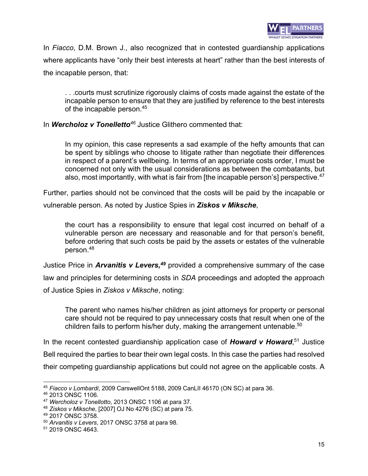

In *Fiacco*, D.M. Brown J., also recognized that in contested guardianship applications where applicants have "only their best interests at heart" rather than the best interests of the incapable person, that:

. . .courts must scrutinize rigorously claims of costs made against the estate of the incapable person to ensure that they are justified by reference to the best interests of the incapable person.<sup>45</sup>

In *Wercholoz v Tonelletto<sup>46</sup>* Justice Glithero commented that:

In my opinion, this case represents a sad example of the hefty amounts that can be spent by siblings who choose to litigate rather than negotiate their differences in respect of a parent's wellbeing. In terms of an appropriate costs order, I must be concerned not only with the usual considerations as between the combatants, but also, most importantly, with what is fair from [the incapable person's] perspective. $47$ 

Further, parties should not be convinced that the costs will be paid by the incapable or

vulnerable person. As noted by Justice Spies in *Ziskos v Miksche*,

the court has a responsibility to ensure that legal cost incurred on behalf of a vulnerable person are necessary and reasonable and for that person's benefit, before ordering that such costs be paid by the assets or estates of the vulnerable person.48

Justice Price in *Arvanitis v Levers*,<sup>49</sup> provided a comprehensive summary of the case law and principles for determining costs in *SDA* proceedings and adopted the approach of Justice Spies in *Ziskos v Miksche*, noting:

The parent who names his/her children as joint attorneys for property or personal care should not be required to pay unnecessary costs that result when one of the children fails to perform his/her duty, making the arrangement untenable.<sup>50</sup>

In the recent contested guardianship application case of **Howard v Howard**,<sup>51</sup> Justice Bell required the parties to bear their own legal costs. In this case the parties had resolved their competing guardianship applications but could not agree on the applicable costs. A

<sup>45</sup> *Fiacco v Lombardi*, 2009 CarswellOnt 5188, 2009 CanLII 46170 (ON SC) at para 36.

<sup>46</sup> 2013 ONSC 1106.

<sup>47</sup> *Wercholoz v Tonellotto*, 2013 ONSC 1106 at para 37.

<sup>48</sup> *Ziskos v Miksche*, [2007] OJ No 4276 (SC) at para 75.

<sup>49</sup> 2017 ONSC 3758.

<sup>50</sup> *Arvanitis v Levers*, 2017 ONSC 3758 at para 98.

<sup>51</sup> 2019 ONSC 4643.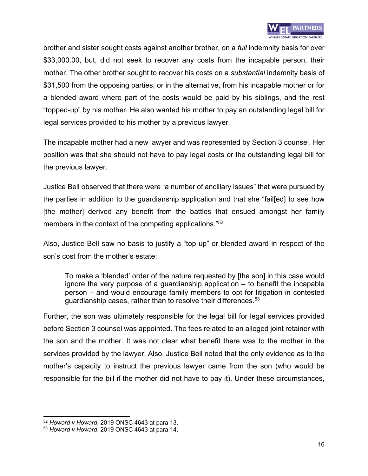

brother and sister sought costs against another brother, on a *full* indemnity basis for over \$33,000.00, but, did not seek to recover any costs from the incapable person, their mother. The other brother sought to recover his costs on a *substantial* indemnity basis of \$31,500 from the opposing parties, or in the alternative, from his incapable mother or for a blended award where part of the costs would be paid by his siblings, and the rest "topped-up" by his mother. He also wanted his mother to pay an outstanding legal bill for legal services provided to his mother by a previous lawyer.

The incapable mother had a new lawyer and was represented by Section 3 counsel. Her position was that she should not have to pay legal costs or the outstanding legal bill for the previous lawyer.

Justice Bell observed that there were "a number of ancillary issues" that were pursued by the parties in addition to the guardianship application and that she "fail[ed] to see how [the mother] derived any benefit from the battles that ensued amongst her family members in the context of the competing applications."<sup>52</sup>

Also, Justice Bell saw no basis to justify a "top up" or blended award in respect of the son's cost from the mother's estate:

To make a 'blended' order of the nature requested by [the son] in this case would ignore the very purpose of a guardianship application – to benefit the incapable person – and would encourage family members to opt for litigation in contested guardianship cases, rather than to resolve their differences.<sup>53</sup>

Further, the son was ultimately responsible for the legal bill for legal services provided before Section 3 counsel was appointed. The fees related to an alleged joint retainer with the son and the mother. It was not clear what benefit there was to the mother in the services provided by the lawyer. Also, Justice Bell noted that the only evidence as to the mother's capacity to instruct the previous lawyer came from the son (who would be responsible for the bill if the mother did not have to pay it). Under these circumstances,

<sup>52</sup> *Howard v Howard*, 2019 ONSC 4643 at para 13.

<sup>53</sup> *Howard v Howard*, 2019 ONSC 4643 at para 14.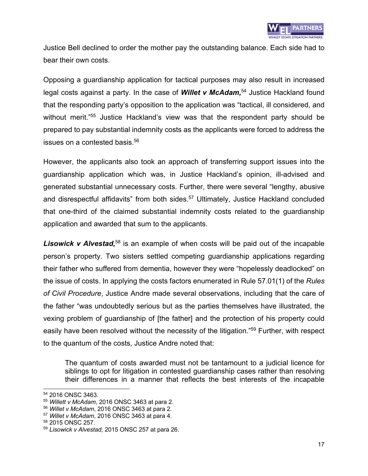Justice Bell declined to order the mother pay the outstanding balance. Each side had to bear their own costs.

Opposing a guardianship application for tactical purposes may also result in increased legal costs against a party. In the case of **Willet v McAdam**,<sup>54</sup> Justice Hackland found that the responding party's opposition to the application was "tactical, ill considered, and without merit."<sup>55</sup> Justice Hackland's view was that the respondent party should be prepared to pay substantial indemnity costs as the applicants were forced to address the issues on a contested basis.<sup>56</sup>

However, the applicants also took an approach of transferring support issues into the guardianship application which was, in Justice Hackland's opinion, ill-advised and generated substantial unnecessary costs. Further, there were several "lengthy, abusive and disrespectful affidavits" from both sides.<sup>57</sup> Ultimately, Justice Hackland concluded that one-third of the claimed substantial indemnity costs related to the guardianship application and awarded that sum to the applicants.

Lisowick v Alvestad,<sup>58</sup> is an example of when costs will be paid out of the incapable person's property. Two sisters settled competing guardianship applications regarding their father who suffered from dementia, however they were "hopelessly deadlocked" on the issue of costs. In applying the costs factors enumerated in Rule 57.01(1) of the *Rules of Civil Procedure*, Justice Andre made several observations, including that the care of the father "was undoubtedly serious but as the parties themselves have illustrated, the vexing problem of guardianship of [the father] and the protection of his property could easily have been resolved without the necessity of the litigation."<sup>59</sup> Further, with respect to the quantum of the costs, Justice Andre noted that:

The quantum of costs awarded must not be tantamount to a judicial licence for siblings to opt for litigation in contested guardianship cases rather than resolving their differences in a manner that reflects the best interests of the incapable

<sup>54</sup> 2016 ONSC 3463.

<sup>55</sup> *Willett v McAdam*, 2016 ONSC 3463 at para 2.

<sup>56</sup> *Willet v McAdam*, 2016 ONSC 3463 at para 2.

<sup>57</sup> *Willet v McAdam*, 2016 ONSC 3463 at para 4.

<sup>58</sup> 2015 ONSC 257.

<sup>59</sup> *Lisowick v Alvestad*, 2015 ONSC 257 at para 26.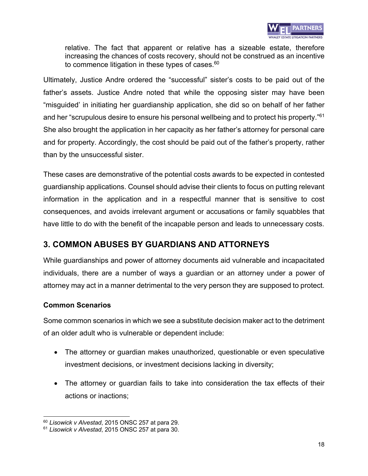

relative. The fact that apparent or relative has a sizeable estate, therefore increasing the chances of costs recovery, should not be construed as an incentive to commence litigation in these types of cases. $60$ 

Ultimately, Justice Andre ordered the "successful" sister's costs to be paid out of the father's assets. Justice Andre noted that while the opposing sister may have been "misguided' in initiating her guardianship application, she did so on behalf of her father and her "scrupulous desire to ensure his personal wellbeing and to protect his property."61 She also brought the application in her capacity as her father's attorney for personal care and for property. Accordingly, the cost should be paid out of the father's property, rather than by the unsuccessful sister.

These cases are demonstrative of the potential costs awards to be expected in contested guardianship applications. Counsel should advise their clients to focus on putting relevant information in the application and in a respectful manner that is sensitive to cost consequences, and avoids irrelevant argument or accusations or family squabbles that have little to do with the benefit of the incapable person and leads to unnecessary costs.

## **3. COMMON ABUSES BY GUARDIANS AND ATTORNEYS**

While guardianships and power of attorney documents aid vulnerable and incapacitated individuals, there are a number of ways a guardian or an attorney under a power of attorney may act in a manner detrimental to the very person they are supposed to protect.

### **Common Scenarios**

Some common scenarios in which we see a substitute decision maker act to the detriment of an older adult who is vulnerable or dependent include:

- The attorney or guardian makes unauthorized, questionable or even speculative investment decisions, or investment decisions lacking in diversity;
- The attorney or guardian fails to take into consideration the tax effects of their actions or inactions;

<sup>60</sup> *Lisowick v Alvestad*, 2015 ONSC 257 at para 29.

<sup>61</sup> *Lisowick v Alvestad*, 2015 ONSC 257 at para 30.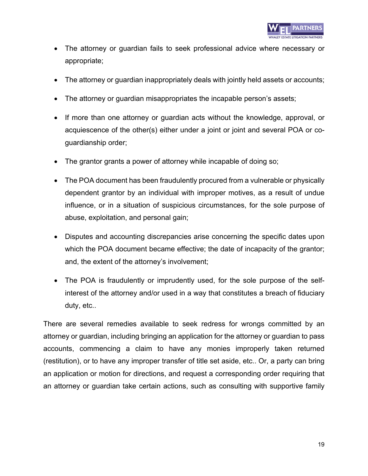- The attorney or guardian fails to seek professional advice where necessary or appropriate;
- The attorney or guardian inappropriately deals with jointly held assets or accounts;
- The attorney or guardian misappropriates the incapable person's assets;
- If more than one attorney or guardian acts without the knowledge, approval, or acquiescence of the other(s) either under a joint or joint and several POA or coguardianship order;
- The grantor grants a power of attorney while incapable of doing so;
- The POA document has been fraudulently procured from a vulnerable or physically dependent grantor by an individual with improper motives, as a result of undue influence, or in a situation of suspicious circumstances, for the sole purpose of abuse, exploitation, and personal gain;
- Disputes and accounting discrepancies arise concerning the specific dates upon which the POA document became effective; the date of incapacity of the grantor; and, the extent of the attorney's involvement;
- The POA is fraudulently or imprudently used, for the sole purpose of the selfinterest of the attorney and/or used in a way that constitutes a breach of fiduciary duty, etc..

There are several remedies available to seek redress for wrongs committed by an attorney or guardian, including bringing an application for the attorney or guardian to pass accounts, commencing a claim to have any monies improperly taken returned (restitution), or to have any improper transfer of title set aside, etc.. Or, a party can bring an application or motion for directions, and request a corresponding order requiring that an attorney or guardian take certain actions, such as consulting with supportive family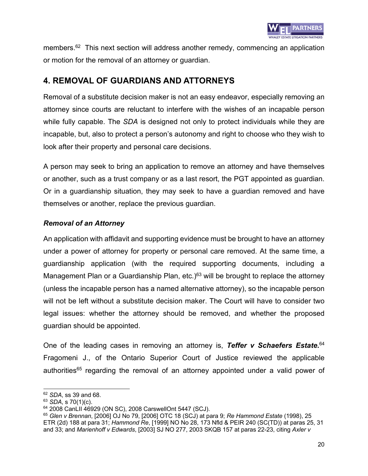

members.<sup>62</sup> This next section will address another remedy, commencing an application or motion for the removal of an attorney or guardian.

## **4. REMOVAL OF GUARDIANS AND ATTORNEYS**

Removal of a substitute decision maker is not an easy endeavor, especially removing an attorney since courts are reluctant to interfere with the wishes of an incapable person while fully capable. The *SDA* is designed not only to protect individuals while they are incapable, but, also to protect a person's autonomy and right to choose who they wish to look after their property and personal care decisions.

A person may seek to bring an application to remove an attorney and have themselves or another, such as a trust company or as a last resort, the PGT appointed as guardian. Or in a guardianship situation, they may seek to have a guardian removed and have themselves or another, replace the previous guardian.

### *Removal of an Attorney*

An application with affidavit and supporting evidence must be brought to have an attorney under a power of attorney for property or personal care removed. At the same time, a guardianship application (with the required supporting documents, including a Management Plan or a Guardianship Plan, etc.)<sup>63</sup> will be brought to replace the attorney (unless the incapable person has a named alternative attorney), so the incapable person will not be left without a substitute decision maker. The Court will have to consider two legal issues: whether the attorney should be removed, and whether the proposed guardian should be appointed.

One of the leading cases in removing an attorney is, *Teffer v Schaefers Estate.* 64 Fragomeni J., of the Ontario Superior Court of Justice reviewed the applicable authorities<sup>65</sup> regarding the removal of an attorney appointed under a valid power of

<sup>62</sup> *SDA*, ss 39 and 68.

<sup>63</sup> *SDA*, s 70(1)(c).

<sup>64</sup> 2008 CanLII 46929 (ON SC), 2008 CarswellOnt 5447 (SCJ).

<sup>65</sup> *Glen v Brennan*, [2006] OJ No 79, [2006] OTC 18 (SCJ) at para 9; *Re Hammond Estate* (1998), 25 ETR (2d) 188 at para 31; *Hammond Re*, [1999] NO No 28, 173 Nfld & PEIR 240 (SC(TD)) at paras 25, 31 and 33; and *Marienhoff v Edwards*, [2003] SJ NO 277, 2003 SKQB 157 at paras 22-23, citing *Axler v*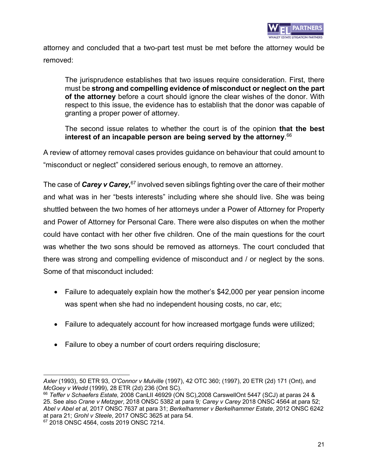

attorney and concluded that a two-part test must be met before the attorney would be removed:

The jurisprudence establishes that two issues require consideration. First, there must be **strong and compelling evidence of misconduct or neglect on the part of the attorney** before a court should ignore the clear wishes of the donor. With respect to this issue, the evidence has to establish that the donor was capable of granting a proper power of attorney.

The second issue relates to whether the court is of the opinion **that the best interest of an incapable person are being served by the attorney**. 66

A review of attorney removal cases provides guidance on behaviour that could amount to "misconduct or neglect" considered serious enough, to remove an attorney.

The case of *Carey v Carey*,<sup>67</sup> involved seven siblings fighting over the care of their mother and what was in her "bests interests" including where she should live. She was being shuttled between the two homes of her attorneys under a Power of Attorney for Property and Power of Attorney for Personal Care. There were also disputes on when the mother could have contact with her other five children. One of the main questions for the court was whether the two sons should be removed as attorneys. The court concluded that there was strong and compelling evidence of misconduct and / or neglect by the sons. Some of that misconduct included:

- Failure to adequately explain how the mother's \$42,000 per year pension income was spent when she had no independent housing costs, no car, etc;
- Failure to adequately account for how increased mortgage funds were utilized;
- Failure to obey a number of court orders requiring disclosure;

*Axler* (1993), 50 ETR 93, *O'Connor v Mulville* (1997), 42 OTC 360; (1997), 20 ETR (2d) 171 (Ont), and *McGoey v Wedd* (1999), 28 ETR (2d) 236 (Ont SC).

<sup>66</sup> *Teffer v Schaefers Estate,* 2008 CanLII 46929 (ON SC),2008 CarswellOnt 5447 (SCJ) at paras 24 & 25. See also *Crane v Metzger*, 2018 ONSC 5382 at para 9*; Carey v Carey* 2018 ONSC 4564 at para 52; *Abel v Abel et al*, 2017 ONSC 7637 at para 31; *Berkelhammer v Berkelhammer Estate*, 2012 ONSC 6242 at para 21; *Grohl v Steele*, 2017 ONSC 3625 at para 54.

<sup>&</sup>lt;sup>67</sup> 2018 ONSC 4564, costs 2019 ONSC 7214.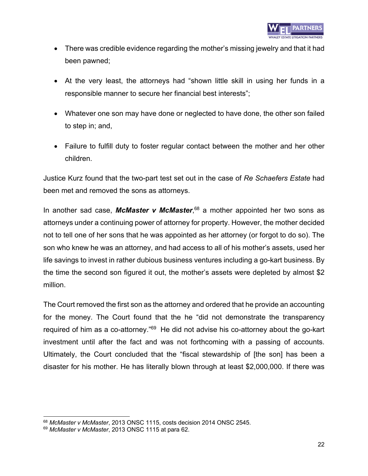- There was credible evidence regarding the mother's missing jewelry and that it had been pawned;
- At the very least, the attorneys had "shown little skill in using her funds in a responsible manner to secure her financial best interests";
- Whatever one son may have done or neglected to have done, the other son failed to step in; and,
- Failure to fulfill duty to foster regular contact between the mother and her other children.

Justice Kurz found that the two-part test set out in the case of *Re Schaefers Estate* had been met and removed the sons as attorneys.

In another sad case, *McMaster v McMaster*, <sup>68</sup> a mother appointed her two sons as attorneys under a continuing power of attorney for property. However, the mother decided not to tell one of her sons that he was appointed as her attorney (or forgot to do so). The son who knew he was an attorney, and had access to all of his mother's assets, used her life savings to invest in rather dubious business ventures including a go-kart business. By the time the second son figured it out, the mother's assets were depleted by almost \$2 million.

The Court removed the first son as the attorney and ordered that he provide an accounting for the money. The Court found that the he "did not demonstrate the transparency required of him as a co-attorney."<sup>69</sup> He did not advise his co-attorney about the go-kart investment until after the fact and was not forthcoming with a passing of accounts. Ultimately, the Court concluded that the "fiscal stewardship of [the son] has been a disaster for his mother. He has literally blown through at least \$2,000,000. If there was

<sup>68</sup> *McMaster v McMaster*, 2013 ONSC 1115, costs decision 2014 ONSC 2545.

<sup>69</sup> *McMaster v McMaster*, 2013 ONSC 1115 at para 62.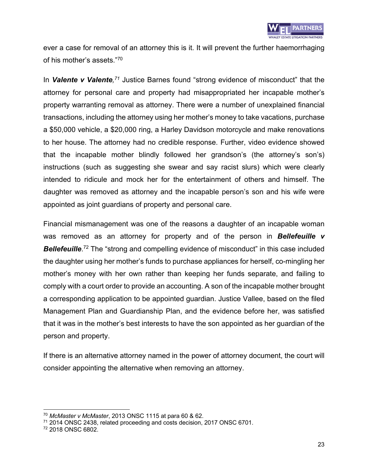

ever a case for removal of an attorney this is it. It will prevent the further haemorrhaging of his mother's assets." 70

In Valente v Valente,<sup>71</sup> Justice Barnes found "strong evidence of misconduct" that the attorney for personal care and property had misappropriated her incapable mother's property warranting removal as attorney. There were a number of unexplained financial transactions, including the attorney using her mother's money to take vacations, purchase a \$50,000 vehicle, a \$20,000 ring, a Harley Davidson motorcycle and make renovations to her house. The attorney had no credible response. Further, video evidence showed that the incapable mother blindly followed her grandson's (the attorney's son's) instructions (such as suggesting she swear and say racist slurs) which were clearly intended to ridicule and mock her for the entertainment of others and himself. The daughter was removed as attorney and the incapable person's son and his wife were appointed as joint guardians of property and personal care.

Financial mismanagement was one of the reasons a daughter of an incapable woman was removed as an attorney for property and of the person in *Bellefeuille v*  **Bellefeuille**.<sup>72</sup> The "strong and compelling evidence of misconduct" in this case included the daughter using her mother's funds to purchase appliances for herself, co-mingling her mother's money with her own rather than keeping her funds separate, and failing to comply with a court order to provide an accounting. A son of the incapable mother brought a corresponding application to be appointed guardian. Justice Vallee, based on the filed Management Plan and Guardianship Plan, and the evidence before her, was satisfied that it was in the mother's best interests to have the son appointed as her guardian of the person and property.

If there is an alternative attorney named in the power of attorney document, the court will consider appointing the alternative when removing an attorney.

<sup>70</sup> *McMaster v McMaster*, 2013 ONSC 1115 at para 60 & 62.

<sup>71</sup> 2014 ONSC 2438, related proceeding and costs decision, 2017 ONSC 6701.

<sup>72</sup> 2018 ONSC 6802.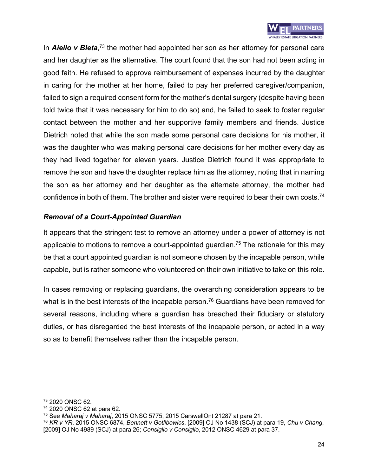

In **Aiello v Bleta**,<sup>73</sup> the mother had appointed her son as her attorney for personal care and her daughter as the alternative. The court found that the son had not been acting in good faith. He refused to approve reimbursement of expenses incurred by the daughter in caring for the mother at her home, failed to pay her preferred caregiver/companion, failed to sign a required consent form for the mother's dental surgery (despite having been told twice that it was necessary for him to do so) and, he failed to seek to foster regular contact between the mother and her supportive family members and friends. Justice Dietrich noted that while the son made some personal care decisions for his mother, it was the daughter who was making personal care decisions for her mother every day as they had lived together for eleven years. Justice Dietrich found it was appropriate to remove the son and have the daughter replace him as the attorney, noting that in naming the son as her attorney and her daughter as the alternate attorney, the mother had confidence in both of them. The brother and sister were required to bear their own costs.<sup>74</sup>

### *Removal of a Court-Appointed Guardian*

It appears that the stringent test to remove an attorney under a power of attorney is not applicable to motions to remove a court-appointed guardian.<sup>75</sup> The rationale for this may be that a court appointed guardian is not someone chosen by the incapable person, while capable, but is rather someone who volunteered on their own initiative to take on this role.

In cases removing or replacing guardians, the overarching consideration appears to be what is in the best interests of the incapable person.<sup>76</sup> Guardians have been removed for several reasons, including where a guardian has breached their fiduciary or statutory duties, or has disregarded the best interests of the incapable person, or acted in a way so as to benefit themselves rather than the incapable person.

<sup>73</sup> 2020 ONSC 62.

<sup>74</sup> 2020 ONSC 62 at para 62.

<sup>75</sup> See *Maharaj v Maharaj*, 2015 ONSC 5775, 2015 CarswellOnt 21287 at para 21.

<sup>76</sup> *KR v YR*, 2015 ONSC 6874, *Bennett v Gotlibowics*, [2009] OJ No 1438 (SCJ) at para 19, *Chu v Chang*, [2009] OJ No 4989 (SCJ) at para 26; *Consiglio v Consiglio*, 2012 ONSC 4629 at para 37.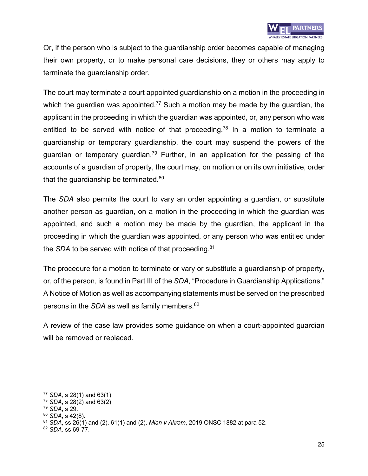Or, if the person who is subject to the guardianship order becomes capable of managing their own property, or to make personal care decisions, they or others may apply to terminate the guardianship order.

The court may terminate a court appointed guardianship on a motion in the proceeding in which the guardian was appointed.<sup>77</sup> Such a motion may be made by the guardian, the applicant in the proceeding in which the guardian was appointed, or, any person who was entitled to be served with notice of that proceeding.<sup>78</sup> In a motion to terminate a guardianship or temporary guardianship, the court may suspend the powers of the guardian or temporary guardian.<sup>79</sup> Further, in an application for the passing of the accounts of a guardian of property, the court may, on motion or on its own initiative, order that the guardianship be terminated.<sup>80</sup>

The *SDA* also permits the court to vary an order appointing a guardian, or substitute another person as guardian, on a motion in the proceeding in which the guardian was appointed, and such a motion may be made by the guardian, the applicant in the proceeding in which the guardian was appointed, or any person who was entitled under the *SDA* to be served with notice of that proceeding.<sup>81</sup>

The procedure for a motion to terminate or vary or substitute a guardianship of property, or, of the person, is found in Part III of the *SDA,* "Procedure in Guardianship Applications." A Notice of Motion as well as accompanying statements must be served on the prescribed persons in the *SDA* as well as family members.<sup>82</sup>

A review of the case law provides some guidance on when a court-appointed guardian will be removed or replaced.

<sup>77</sup> *SDA,* s 28(1) and 63(1).

<sup>78</sup> *SDA*, s 28(2) and 63(2).

<sup>79</sup> *SDA*, s 29.

<sup>80</sup> *SDA*, s 42(8).

<sup>81</sup> *SDA*, ss 26(1) and (2), 61(1) and (2), *Mian v Akram*, 2019 ONSC 1882 at para 52.

<sup>82</sup> *SDA,* ss 69-77.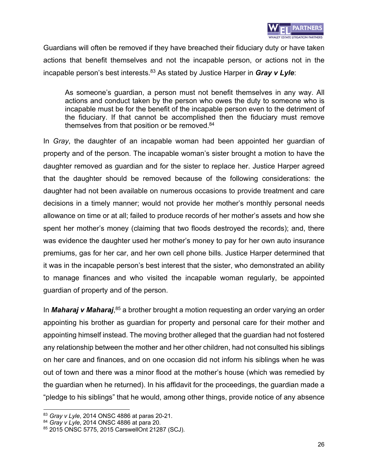

Guardians will often be removed if they have breached their fiduciary duty or have taken actions that benefit themselves and not the incapable person, or actions not in the incapable person's best interests.83 As stated by Justice Harper in *Gray v Lyle*:

As someone's guardian, a person must not benefit themselves in any way. All actions and conduct taken by the person who owes the duty to someone who is incapable must be for the benefit of the incapable person even to the detriment of the fiduciary. If that cannot be accomplished then the fiduciary must remove themselves from that position or be removed.<sup>84</sup>

In *Gray*, the daughter of an incapable woman had been appointed her guardian of property and of the person. The incapable woman's sister brought a motion to have the daughter removed as guardian and for the sister to replace her. Justice Harper agreed that the daughter should be removed because of the following considerations: the daughter had not been available on numerous occasions to provide treatment and care decisions in a timely manner; would not provide her mother's monthly personal needs allowance on time or at all; failed to produce records of her mother's assets and how she spent her mother's money (claiming that two floods destroyed the records); and, there was evidence the daughter used her mother's money to pay for her own auto insurance premiums, gas for her car, and her own cell phone bills. Justice Harper determined that it was in the incapable person's best interest that the sister, who demonstrated an ability to manage finances and who visited the incapable woman regularly, be appointed guardian of property and of the person.

In *Maharaj v Maharaj*,<sup>85</sup> a brother brought a motion requesting an order varying an order appointing his brother as guardian for property and personal care for their mother and appointing himself instead. The moving brother alleged that the guardian had not fostered any relationship between the mother and her other children, had not consulted his siblings on her care and finances, and on one occasion did not inform his siblings when he was out of town and there was a minor flood at the mother's house (which was remedied by the guardian when he returned). In his affidavit for the proceedings, the guardian made a "pledge to his siblings" that he would, among other things, provide notice of any absence

<sup>83</sup> *Gray v Lyle*, 2014 ONSC 4886 at paras 20-21.

<sup>84</sup> *Gray v Lyle*, 2014 ONSC 4886 at para 20.

<sup>85</sup> 2015 ONSC 5775, 2015 CarswellOnt 21287 (SCJ).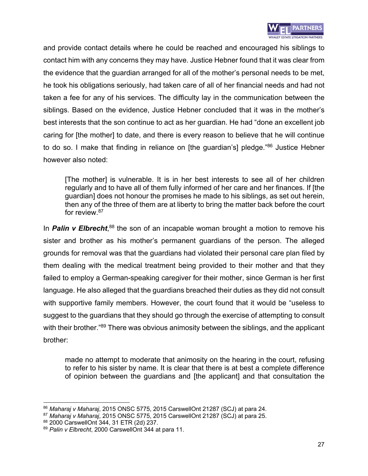

and provide contact details where he could be reached and encouraged his siblings to contact him with any concerns they may have. Justice Hebner found that it was clear from the evidence that the guardian arranged for all of the mother's personal needs to be met, he took his obligations seriously, had taken care of all of her financial needs and had not taken a fee for any of his services. The difficulty lay in the communication between the siblings. Based on the evidence, Justice Hebner concluded that it was in the mother's best interests that the son continue to act as her guardian. He had "done an excellent job caring for [the mother] to date, and there is every reason to believe that he will continue to do so. I make that finding in reliance on [the guardian's] pledge."<sup>86</sup> Justice Hebner however also noted:

[The mother] is vulnerable. It is in her best interests to see all of her children regularly and to have all of them fully informed of her care and her finances. If [the guardian] does not honour the promises he made to his siblings, as set out herein, then any of the three of them are at liberty to bring the matter back before the court for review.87

In **Palin v Elbrecht**,<sup>88</sup> the son of an incapable woman brought a motion to remove his sister and brother as his mother's permanent guardians of the person. The alleged grounds for removal was that the guardians had violated their personal care plan filed by them dealing with the medical treatment being provided to their mother and that they failed to employ a German-speaking caregiver for their mother, since German is her first language. He also alleged that the guardians breached their duties as they did not consult with supportive family members. However, the court found that it would be "useless to suggest to the guardians that they should go through the exercise of attempting to consult with their brother."<sup>89</sup> There was obvious animosity between the siblings, and the applicant brother:

made no attempt to moderate that animosity on the hearing in the court, refusing to refer to his sister by name. It is clear that there is at best a complete difference of opinion between the guardians and [the applicant] and that consultation the

<sup>86</sup> *Maharaj v Maharaj*, 2015 ONSC 5775, 2015 CarswellOnt 21287 (SCJ) at para 24.

<sup>87</sup> *Maharaj v Maharaj*, 2015 ONSC 5775, 2015 CarswellOnt 21287 (SCJ) at para 25.

<sup>88 2000</sup> CarswellOnt 344, 31 ETR (2d) 237.

<sup>89</sup> *Palin v Elbrecht*, 2000 CarswellOnt 344 at para 11.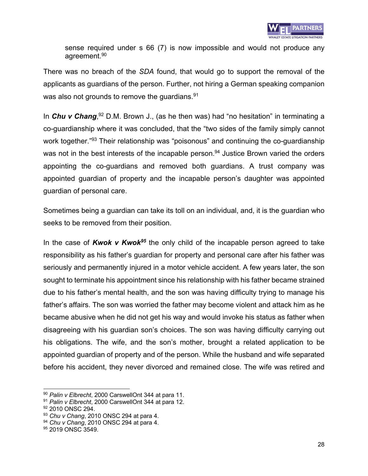

sense required under s 66 (7) is now impossible and would not produce any agreement.<sup>90</sup>

There was no breach of the *SDA* found, that would go to support the removal of the applicants as guardians of the person. Further, not hiring a German speaking companion was also not grounds to remove the guardians.<sup>91</sup>

In *Chu v Chang*,<sup>92</sup> D.M. Brown J., (as he then was) had "no hesitation" in terminating a co-guardianship where it was concluded, that the "two sides of the family simply cannot work together."<sup>93</sup> Their relationship was "poisonous" and continuing the co-guardianship was not in the best interests of the incapable person.<sup>94</sup> Justice Brown varied the orders appointing the co-guardians and removed both guardians. A trust company was appointed guardian of property and the incapable person's daughter was appointed guardian of personal care.

Sometimes being a guardian can take its toll on an individual, and, it is the guardian who seeks to be removed from their position.

In the case of *Kwok v Kwok95* the only child of the incapable person agreed to take responsibility as his father's guardian for property and personal care after his father was seriously and permanently injured in a motor vehicle accident. A few years later, the son sought to terminate his appointment since his relationship with his father became strained due to his father's mental health, and the son was having difficulty trying to manage his father's affairs. The son was worried the father may become violent and attack him as he became abusive when he did not get his way and would invoke his status as father when disagreeing with his guardian son's choices. The son was having difficulty carrying out his obligations. The wife, and the son's mother, brought a related application to be appointed guardian of property and of the person. While the husband and wife separated before his accident, they never divorced and remained close. The wife was retired and

<sup>90</sup> *Palin v Elbrecht*, 2000 CarswellOnt 344 at para 11.

<sup>91</sup> *Palin v Elbrecht*, 2000 CarswellOnt 344 at para 12.

<sup>&</sup>lt;sup>92</sup> 2010 ONSC 294.

<sup>93</sup> *Chu v Chang*, 2010 ONSC 294 at para 4.

<sup>94</sup> *Chu v Chang*, 2010 ONSC 294 at para 4.

<sup>95 2019</sup> ONSC 3549.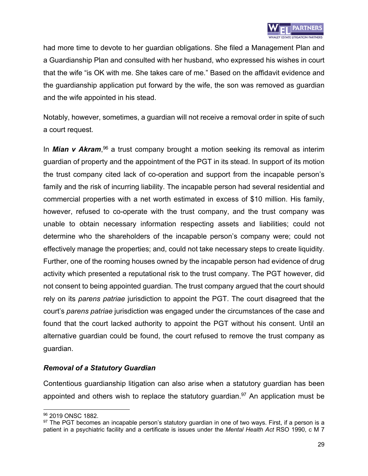

had more time to devote to her guardian obligations. She filed a Management Plan and a Guardianship Plan and consulted with her husband, who expressed his wishes in court that the wife "is OK with me. She takes care of me." Based on the affidavit evidence and the guardianship application put forward by the wife, the son was removed as guardian and the wife appointed in his stead.

Notably, however, sometimes, a guardian will not receive a removal order in spite of such a court request.

In *Mian v Akram*, <sup>96</sup> a trust company brought a motion seeking its removal as interim guardian of property and the appointment of the PGT in its stead. In support of its motion the trust company cited lack of co-operation and support from the incapable person's family and the risk of incurring liability. The incapable person had several residential and commercial properties with a net worth estimated in excess of \$10 million. His family, however, refused to co-operate with the trust company, and the trust company was unable to obtain necessary information respecting assets and liabilities; could not determine who the shareholders of the incapable person's company were; could not effectively manage the properties; and, could not take necessary steps to create liquidity. Further, one of the rooming houses owned by the incapable person had evidence of drug activity which presented a reputational risk to the trust company. The PGT however, did not consent to being appointed guardian. The trust company argued that the court should rely on its *parens patriae* jurisdiction to appoint the PGT. The court disagreed that the court's *parens patriae* jurisdiction was engaged under the circumstances of the case and found that the court lacked authority to appoint the PGT without his consent. Until an alternative guardian could be found, the court refused to remove the trust company as guardian.

#### *Removal of a Statutory Guardian*

Contentious guardianship litigation can also arise when a statutory guardian has been appointed and others wish to replace the statutory guardian.<sup>97</sup> An application must be

<sup>&</sup>lt;sup>96</sup> 2019 ONSC 1882.

 $97$  The PGT becomes an incapable person's statutory guardian in one of two ways. First, if a person is a patient in a psychiatric facility and a certificate is issues under the *Mental Health Act* RSO 1990, c M 7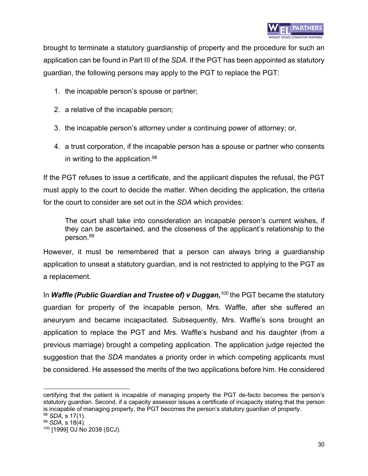brought to terminate a statutory guardianship of property and the procedure for such an application can be found in Part III of the *SDA*. If the PGT has been appointed as statutory guardian, the following persons may apply to the PGT to replace the PGT:

- 1. the incapable person's spouse or partner;
- 2. a relative of the incapable person;
- 3. the incapable person's attorney under a continuing power of attorney; or,
- 4. a trust corporation, if the incapable person has a spouse or partner who consents in writing to the application.98

If the PGT refuses to issue a certificate, and the applicant disputes the refusal, the PGT must apply to the court to decide the matter. When deciding the application, the criteria for the court to consider are set out in the *SDA* which provides:

The court shall take into consideration an incapable person's current wishes, if they can be ascertained, and the closeness of the applicant's relationship to the person.99

However, it must be remembered that a person can always bring a guardianship application to unseat a statutory guardian, and is not restricted to applying to the PGT as a replacement.

In **Waffle (Public Guardian and Trustee of) v Duggan, <sup>100</sup> the PGT became the statutory** guardian for property of the incapable person, Mrs. Waffle, after she suffered an aneurysm and became incapacitated. Subsequently, Mrs. Waffle's sons brought an application to replace the PGT and Mrs. Waffle's husband and his daughter (from a previous marriage) brought a competing application. The application judge rejected the suggestion that the *SDA* mandates a priority order in which competing applicants must be considered. He assessed the merits of the two applications before him. He considered

certifying that the patient is incapable of managing property the PGT de-facto becomes the person's statutory guardian. Second, if a capacity assessor issues a certificate of incapacity stating that the person is incapable of managing property, the PGT becomes the person's statutory guardian of property. <sup>98</sup> *SDA*, s 17(1).

<sup>99</sup> *SDA*, s 18(4).

<sup>100</sup> [1999] OJ No 2038 (SCJ).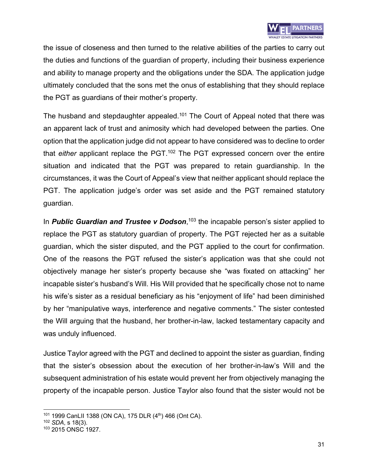

the issue of closeness and then turned to the relative abilities of the parties to carry out the duties and functions of the guardian of property, including their business experience and ability to manage property and the obligations under the SDA. The application judge ultimately concluded that the sons met the onus of establishing that they should replace the PGT as guardians of their mother's property.

The husband and stepdaughter appealed.<sup>101</sup> The Court of Appeal noted that there was an apparent lack of trust and animosity which had developed between the parties. One option that the application judge did not appear to have considered was to decline to order that *either* applicant replace the PGT.<sup>102</sup> The PGT expressed concern over the entire situation and indicated that the PGT was prepared to retain guardianship. In the circumstances, it was the Court of Appeal's view that neither applicant should replace the PGT. The application judge's order was set aside and the PGT remained statutory guardian.

In **Public Guardian and Trustee v Dodson**,<sup>103</sup> the incapable person's sister applied to replace the PGT as statutory guardian of property. The PGT rejected her as a suitable guardian, which the sister disputed, and the PGT applied to the court for confirmation. One of the reasons the PGT refused the sister's application was that she could not objectively manage her sister's property because she "was fixated on attacking" her incapable sister's husband's Will. His Will provided that he specifically chose not to name his wife's sister as a residual beneficiary as his "enjoyment of life" had been diminished by her "manipulative ways, interference and negative comments." The sister contested the Will arguing that the husband, her brother-in-law, lacked testamentary capacity and was unduly influenced.

Justice Taylor agreed with the PGT and declined to appoint the sister as guardian, finding that the sister's obsession about the execution of her brother-in-law's Will and the subsequent administration of his estate would prevent her from objectively managing the property of the incapable person. Justice Taylor also found that the sister would not be

<sup>101 1999</sup> CanLII 1388 (ON CA), 175 DLR (4<sup>th</sup>) 466 (Ont CA).

<sup>102</sup> *SDA*, s 18(3).

<sup>103</sup> 2015 ONSC 1927.